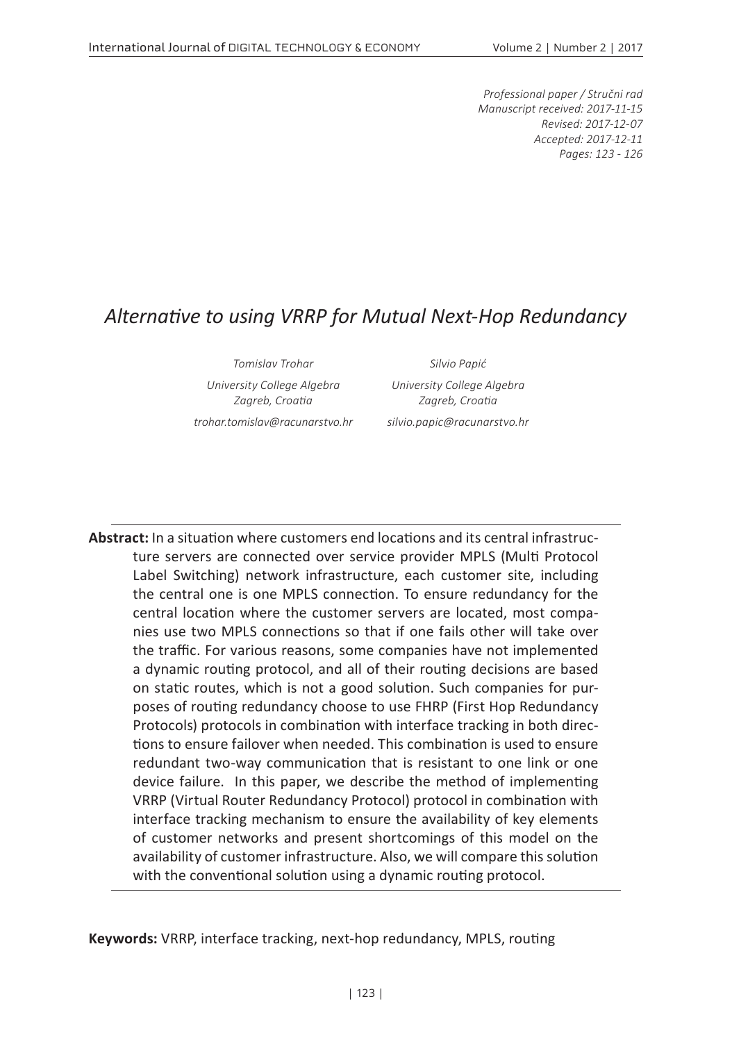*Professional paper / Stručni rad Manuscript received: 2017-11-15 Revised: 2017-12-07 Accepted: 2017-12-11 Pages: 123 - 126*

#### *Alternative to using VRRP for Mutual Next-Hop Redundancy*

*Tomislav Trohar Silvio Papić University College Algebra Zagreb, Croatia*

*University College Algebra Zagreb, Croatia*

*trohar.tomislav@racunarstvo.hr silvio.papic@racunarstvo.hr*

**Abstract:** In a situation where customers end locations and its central infrastructure servers are connected over service provider MPLS (Multi Protocol Label Switching) network infrastructure, each customer site, including the central one is one MPLS connection. To ensure redundancy for the central location where the customer servers are located, most companies use two MPLS connections so that if one fails other will take over the traffic. For various reasons, some companies have not implemented a dynamic routing protocol, and all of their routing decisions are based on static routes, which is not a good solution. Such companies for purposes of routing redundancy choose to use FHRP (First Hop Redundancy Protocols) protocols in combination with interface tracking in both directions to ensure failover when needed. This combination is used to ensure redundant two-way communication that is resistant to one link or one device failure. In this paper, we describe the method of implementing VRRP (Virtual Router Redundancy Protocol) protocol in combination with interface tracking mechanism to ensure the availability of key elements of customer networks and present shortcomings of this model on the availability of customer infrastructure. Also, we will compare this solution with the conventional solution using a dynamic routing protocol.

**Keywords:** VRRP, interface tracking, next-hop redundancy, MPLS, routing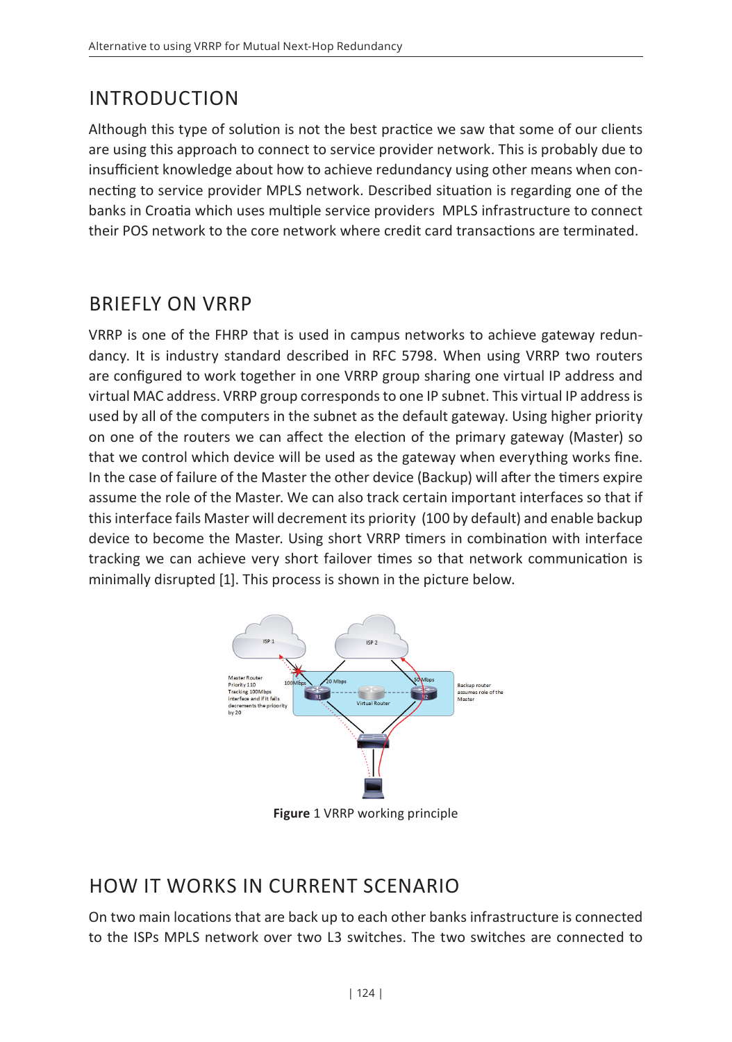# INTRODUCTION

Although this type of solution is not the best practice we saw that some of our clients are using this approach to connect to service provider network. This is probably due to insufficient knowledge about how to achieve redundancy using other means when connecting to service provider MPLS network. Described situation is regarding one of the banks in Croatia which uses multiple service providers MPLS infrastructure to connect their POS network to the core network where credit card transactions are terminated.

#### BRIEFLY ON VRRP

VRRP is one of the FHRP that is used in campus networks to achieve gateway redundancy. It is industry standard described in RFC 5798. When using VRRP two routers are configured to work together in one VRRP group sharing one virtual IP address and virtual MAC address. VRRP group corresponds to one IP subnet. This virtual IP address is used by all of the computers in the subnet as the default gateway. Using higher priority on one of the routers we can affect the election of the primary gateway (Master) so that we control which device will be used as the gateway when everything works fine. In the case of failure of the Master the other device (Backup) will after the timers expire assume the role of the Master. We can also track certain important interfaces so that if this interface fails Master will decrement its priority (100 by default) and enable backup device to become the Master. Using short VRRP timers in combination with interface tracking we can achieve very short failover times so that network communication is minimally disrupted [1]. This process is shown in the picture below.



**Figure** 1 VRRP working principle

## HOW IT WORKS IN CURRENT SCENARIO

On two main locations that are back up to each other banks infrastructure is connected to the ISPs MPLS network over two L3 switches. The two switches are connected to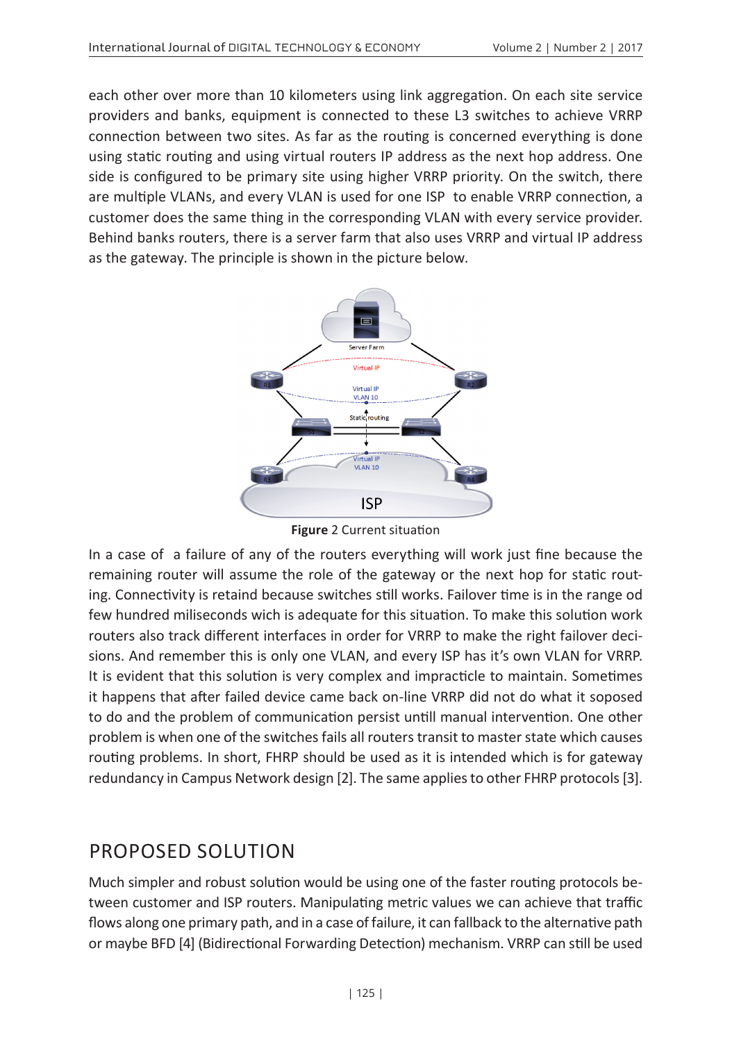each other over more than 10 kilometers using link aggregation. On each site service providers and banks, equipment is connected to these L3 switches to achieve VRRP connection between two sites. As far as the routing is concerned everything is done using static routing and using virtual routers IP address as the next hop address. One side is configured to be primary site using higher VRRP priority. On the switch, there are multiple VLANs, and every VLAN is used for one ISP to enable VRRP connection, a customer does the same thing in the corresponding VLAN with every service provider. Behind banks routers, there is a server farm that also uses VRRP and virtual IP address as the gateway. The principle is shown in the picture below.



**Figure** 2 Current situation

In a case of a failure of any of the routers everything will work just fine because the remaining router will assume the role of the gateway or the next hop for static routing. Connectivity is retaind because switches still works. Failover time is in the range od few hundred miliseconds wich is adequate for this situation. To make this solution work routers also track different interfaces in order for VRRP to make the right failover decisions. And remember this is only one VLAN, and every ISP has it's own VLAN for VRRP. It is evident that this solution is very complex and impracticle to maintain. Sometimes it happens that after failed device came back on-line VRRP did not do what it soposed to do and the problem of communication persist untill manual intervention. One other problem is when one of the switches fails all routers transit to master state which causes routing problems. In short, FHRP should be used as it is intended which is for gateway redundancy in Campus Network design [2]. The same applies to other FHRP protocols [3].

## PROPOSED SOLUTION

Much simpler and robust solution would be using one of the faster routing protocols between customer and ISP routers. Manipulating metric values we can achieve that traffic flows along one primary path, and in a case of failure, it can fallback to the alternative path or maybe BFD [4] (Bidirectional Forwarding Detection) mechanism. VRRP can still be used